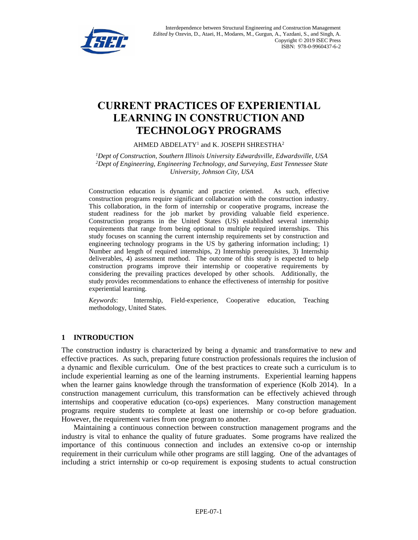

Interdependence between Structural Engineering and Construction Management *Edited by* Ozevin, D., Ataei, H., Modares, M., Gurgun, A., Yazdani, S., and Singh, A. Copyright © 2019 ISEC Press ISBN: 978-0-9960437-6-2

# **CURRENT PRACTICES OF EXPERIENTIAL LEARNING IN CONSTRUCTION AND TECHNOLOGY PROGRAMS**

AHMED ABDELATY<sup>1</sup> and K. JOSEPH SHRESTHA<sup>2</sup>

*<sup>1</sup>Dept of Construction, Southern Illinois University Edwardsville, Edwardsville, USA <sup>2</sup>Dept of Engineering, Engineering Technology, and Surveying, East Tennessee State University, Johnson City, USA*

Construction education is dynamic and practice oriented. As such, effective construction programs require significant collaboration with the construction industry. This collaboration, in the form of internship or cooperative programs, increase the student readiness for the job market by providing valuable field experience. Construction programs in the United States (US) established several internship requirements that range from being optional to multiple required internships. This study focuses on scanning the current internship requirements set by construction and engineering technology programs in the US by gathering information including; 1) Number and length of required internships, 2) Internship prerequisites, 3) Internship deliverables, 4) assessment method. The outcome of this study is expected to help construction programs improve their internship or cooperative requirements by considering the prevailing practices developed by other schools. Additionally, the study provides recommendations to enhance the effectiveness of internship for positive experiential learning.

*Keywords*: Internship, Field-experience, Cooperative education, Teaching methodology, United States.

### **1 INTRODUCTION**

The construction industry is characterized by being a dynamic and transformative to new and effective practices. As such, preparing future construction professionals requires the inclusion of a dynamic and flexible curriculum. One of the best practices to create such a curriculum is to include experiential learning as one of the learning instruments. Experiential learning happens when the learner gains knowledge through the transformation of experience (Kolb 2014). In a construction management curriculum, this transformation can be effectively achieved through internships and cooperative education (co-ops) experiences. Many construction management programs require students to complete at least one internship or co-op before graduation. However, the requirement varies from one program to another.

Maintaining a continuous connection between construction management programs and the industry is vital to enhance the quality of future graduates. Some programs have realized the importance of this continuous connection and includes an extensive co-op or internship requirement in their curriculum while other programs are still lagging. One of the advantages of including a strict internship or co-op requirement is exposing students to actual construction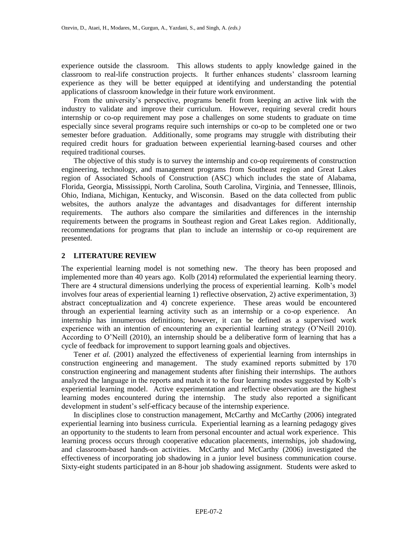experience outside the classroom. This allows students to apply knowledge gained in the classroom to real-life construction projects. It further enhances students' classroom learning experience as they will be better equipped at identifying and understanding the potential applications of classroom knowledge in their future work environment.

From the university's perspective, programs benefit from keeping an active link with the industry to validate and improve their curriculum. However, requiring several credit hours internship or co-op requirement may pose a challenges on some students to graduate on time especially since several programs require such internships or co-op to be completed one or two semester before graduation. Additionally, some programs may struggle with distributing their required credit hours for graduation between experiential learning-based courses and other required traditional courses.

The objective of this study is to survey the internship and co-op requirements of construction engineering, technology, and management programs from Southeast region and Great Lakes region of Associated Schools of Construction (ASC) which includes the state of Alabama, Florida, Georgia, Mississippi, North Carolina, South Carolina, Virginia, and Tennessee, Illinois, Ohio, Indiana, Michigan, Kentucky, and Wisconsin. Based on the data collected from public websites, the authors analyze the advantages and disadvantages for different internship requirements. The authors also compare the similarities and differences in the internship requirements between the programs in Southeast region and Great Lakes region. Additionally, recommendations for programs that plan to include an internship or co-op requirement are presented.

#### **2 LITERATURE REVIEW**

The experiential learning model is not something new. The theory has been proposed and implemented more than 40 years ago. Kolb (2014) reformulated the experiential learning theory. There are 4 structural dimensions underlying the process of experiential learning. Kolb's model involves four areas of experiential learning 1) reflective observation, 2) active experimentation, 3) abstract conceptualization and 4) concrete experience. These areas would be encountered through an experiential learning activity such as an internship or a co-op experience. An internship has innumerous definitions; however, it can be defined as a supervised work experience with an intention of encountering an experiential learning strategy (O'Neill 2010). According to O'Neill (2010), an internship should be a deliberative form of learning that has a cycle of feedback for improvement to support learning goals and objectives.

Tener *et al.* (2001) analyzed the effectiveness of experiential learning from internships in construction engineering and management. The study examined reports submitted by 170 construction engineering and management students after finishing their internships. The authors analyzed the language in the reports and match it to the four learning modes suggested by Kolb's experiential learning model. Active experimentation and reflective observation are the highest learning modes encountered during the internship. The study also reported a significant development in student's self-efficacy because of the internship experience.

In disciplines close to construction management, McCarthy and McCarthy (2006) integrated experiential learning into business curricula. Experiential learning as a learning pedagogy gives an opportunity to the students to learn from personal encounter and actual work experience. This learning process occurs through cooperative education placements, internships, job shadowing, and classroom-based hands-on activities. McCarthy and McCarthy (2006) investigated the effectiveness of incorporating job shadowing in a junior level business communication course. Sixty-eight students participated in an 8-hour job shadowing assignment. Students were asked to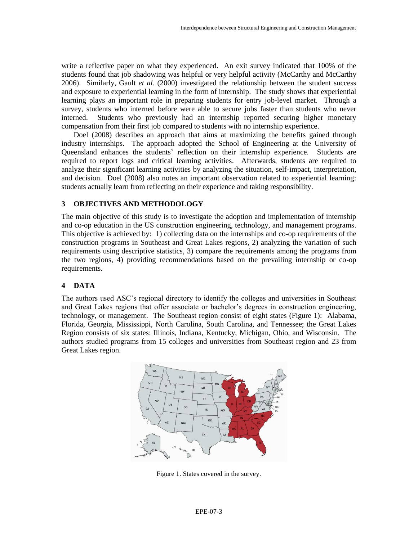write a reflective paper on what they experienced. An exit survey indicated that 100% of the students found that job shadowing was helpful or very helpful activity (McCarthy and McCarthy 2006). Similarly, Gault *et al.* (2000) investigated the relationship between the student success and exposure to experiential learning in the form of internship. The study shows that experiential learning plays an important role in preparing students for entry job-level market. Through a survey, students who interned before were able to secure jobs faster than students who never interned. Students who previously had an internship reported securing higher monetary compensation from their first job compared to students with no internship experience.

Doel (2008) describes an approach that aims at maximizing the benefits gained through industry internships. The approach adopted the School of Engineering at the University of Queensland enhances the students' reflection on their internship experience. Students are required to report logs and critical learning activities. Afterwards, students are required to analyze their significant learning activities by analyzing the situation, self-impact, interpretation, and decision. Doel (2008) also notes an important observation related to experiential learning: students actually learn from reflecting on their experience and taking responsibility.

## **3 OBJECTIVES AND METHODOLOGY**

The main objective of this study is to investigate the adoption and implementation of internship and co-op education in the US construction engineering, technology, and management programs. This objective is achieved by: 1) collecting data on the internships and co-op requirements of the construction programs in Southeast and Great Lakes regions, 2) analyzing the variation of such requirements using descriptive statistics, 3) compare the requirements among the programs from the two regions, 4) providing recommendations based on the prevailing internship or co-op requirements.

## **4 DATA**

The authors used ASC's regional directory to identify the colleges and universities in Southeast and Great Lakes regions that offer associate or bachelor's degrees in construction engineering, technology, or management. The Southeast region consist of eight states (Figure 1): Alabama, Florida, Georgia, Mississippi, North Carolina, South Carolina, and Tennessee; the Great Lakes Region consists of six states: Illinois, Indiana, Kentucky, Michigan, Ohio, and Wisconsin. The authors studied programs from 15 colleges and universities from Southeast region and 23 from Great Lakes region.



Figure 1. States covered in the survey.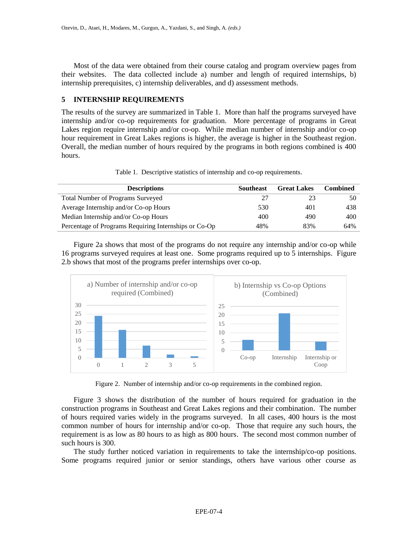Most of the data were obtained from their course catalog and program overview pages from their websites. The data collected include a) number and length of required internships, b) internship prerequisites, c) internship deliverables, and d) assessment methods.

## **5 INTERNSHIP REQUIREMENTS**

The results of the survey are summarized in Table 1. More than half the programs surveyed have internship and/or co-op requirements for graduation. More percentage of programs in Great Lakes region require internship and/or co-op. While median number of internship and/or co-op hour requirement in Great Lakes regions is higher, the average is higher in the Southeast region. Overall, the median number of hours required by the programs in both regions combined is 400 hours.

|  |  | Table 1. Descriptive statistics of internship and co-op requirements. |
|--|--|-----------------------------------------------------------------------|
|  |  |                                                                       |

| <b>Descriptions</b>                                   | <b>Southeast</b> | <b>Great Lakes</b> | Combined |
|-------------------------------------------------------|------------------|--------------------|----------|
| <b>Total Number of Programs Surveyed</b>              | 27               |                    | 50       |
| Average Internship and/or Co-op Hours                 | 530              | 401                | 438      |
| Median Internship and/or Co-op Hours                  | 400              | 490                | 400      |
| Percentage of Programs Requiring Internships or Co-Op | 48%              | 83%                | 64%      |

Figure 2a shows that most of the programs do not require any internship and/or co-op while 16 programs surveyed requires at least one. Some programs required up to 5 internships. Figure 2.b shows that most of the programs prefer internships over co-op.



Figure 2. Number of internship and/or co-op requirements in the combined region.

Figure 3 shows the distribution of the number of hours required for graduation in the construction programs in Southeast and Great Lakes regions and their combination. The number of hours required varies widely in the programs surveyed. In all cases, 400 hours is the most common number of hours for internship and/or co-op. Those that require any such hours, the requirement is as low as 80 hours to as high as 800 hours. The second most common number of such hours is 300.

The study further noticed variation in requirements to take the internship/co-op positions. Some programs required junior or senior standings, others have various other course as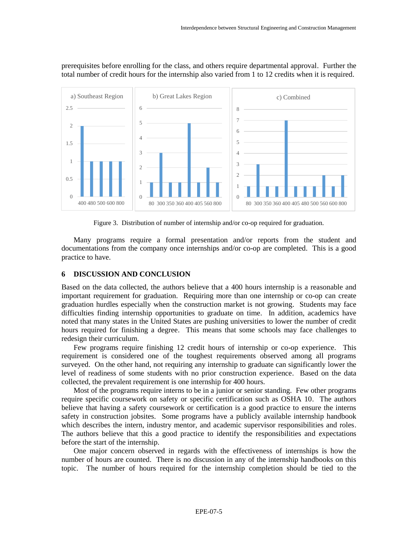

prerequisites before enrolling for the class, and others require departmental approval. Further the total number of credit hours for the internship also varied from 1 to 12 credits when it is required.

Figure 3. Distribution of number of internship and/or co-op required for graduation.

Many programs require a formal presentation and/or reports from the student and documentations from the company once internships and/or co-op are completed. This is a good practice to have.

#### **6 DISCUSSION AND CONCLUSION**

Based on the data collected, the authors believe that a 400 hours internship is a reasonable and important requirement for graduation. Requiring more than one internship or co-op can create graduation hurdles especially when the construction market is not growing. Students may face difficulties finding internship opportunities to graduate on time. In addition, academics have noted that many states in the United States are pushing universities to lower the number of credit hours required for finishing a degree. This means that some schools may face challenges to redesign their curriculum.

Few programs require finishing 12 credit hours of internship or co-op experience. This requirement is considered one of the toughest requirements observed among all programs surveyed. On the other hand, not requiring any internship to graduate can significantly lower the level of readiness of some students with no prior construction experience. Based on the data collected, the prevalent requirement is one internship for 400 hours.

Most of the programs require interns to be in a junior or senior standing. Few other programs require specific coursework on safety or specific certification such as OSHA 10. The authors believe that having a safety coursework or certification is a good practice to ensure the interns safety in construction jobsites. Some programs have a publicly available internship handbook which describes the intern, industry mentor, and academic supervisor responsibilities and roles. The authors believe that this a good practice to identify the responsibilities and expectations before the start of the internship.

One major concern observed in regards with the effectiveness of internships is how the number of hours are counted. There is no discussion in any of the internship handbooks on this topic. The number of hours required for the internship completion should be tied to the